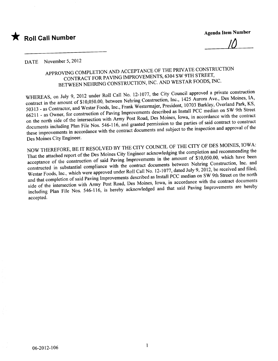

Agenda Item Number

<u>IU</u>

### DATE November 5, 2012

## APPROVING COMPLETION AND ACCEPTANCE OF THE PRIVATE CONSTRUCTION CONTRACT FOR PAVING IMPROVEMENTS, 6304 SW 9TH STREET, CONTRACT FOR PAVING IMPROVEMENTS, 6304 SW 9TH STREET, BETWEEN NEHRING CONSTRUCTION, INC. AND WESTIME SOLUTION,

WHEREAS, on July 9, 2012 under Roll Call Ivo. 12-1077, the City Council and  $\frac{1}{2}$  Aurora Ave., Des Moines, IA, contract in the amount of  $\frac{310,050,000}{200,000}$ , between Nearly Construction, President, 10703 Barkley, Overland Park, KS. 50313 - as Contractor, and Westar Foods, Inc., Frank Westermajer, President, 10703 Barkley, Overland Park, Rece 66211 - as Owner, for construction of Paving Improvements described as Install PCC median on SW 9th Street<br>on the north side of the intersection with Army Post Road, Des Moines, Iowa, in accordance with the contract documents including Plan File Nos. 546-116, and granted permission to the parties of said contract to construct documents including Plan File Nos. 546-116, and granted permission to the  $\frac{1}{4}$ these improvements in accordance with the contract documents and subject to the inspection and approvements in

Des Moines City Engineer.<br>NOW THEREFORE, BE IT RESOLVED BY THE CITY COUNCIL OF THE CITY OF DES MOINES, IOWA: That the attached report of the Des Moines City Engineer acknowledging the completion and recommending the acceptance of the construction of said Paving Improvements in the amount of \$10,050.00, which have been constructed in substantial compliance with the contract documents between Nehring Construction, Inc. and constructed in substantial compliance with the contract documents between  $\frac{1}{2}$  and  $\frac{1}{2}$ , be received and filed; Westar Foods, Inc., which were approved under Roll Call No. 12-1077, dated by on SW 9th Street on the north and that completion of said Paving Improvements described as Install PCC median on SW 9th Street on the north side of the intersection with Army Post Road, Des Moines, Iowa, in accordance with the contract documents side of the intersection with Army Post Road, Des Moines, Iowa, in according the provements are hereby including Plan File Nos. 546-116, is hereby acknowledged and that said  $2^{n}$ accepted.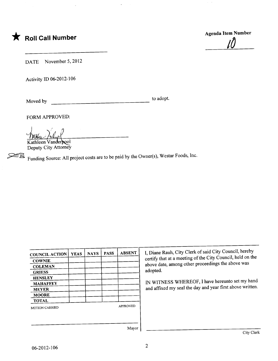

Agenda Item Number <u>IU</u>

DATE November 5, 2012

Activity ID 06-2012-106

Moved by to adopt.

FORM APPROVED:<br>
Wathleen Vanderbool

Deputy City Attorney

Funding Source: All project costs are to be paid by the Owner(s), Westar Foods, Inc.

| <b>COUNCIL ACTION</b> | <b>YEAS</b> | <b>NAYS</b> | <b>PASS</b> | <b>ABSENT</b>   | I, Diane   |
|-----------------------|-------------|-------------|-------------|-----------------|------------|
| <b>COWNIE</b>         |             |             |             |                 | certify th |
| <b>COLEMAN</b>        |             |             |             |                 | above da   |
| <b>GRIESS</b>         |             |             |             |                 | adopted.   |
| <b>HENSLEY</b>        |             |             |             |                 |            |
| <b>MAHAFFEY</b>       |             |             |             |                 | IN WIT     |
| <b>MEYER</b>          |             |             |             |                 | and affi:  |
| <b>MOORE</b>          |             |             |             |                 |            |
| <b>TOTAL</b>          |             |             |             |                 |            |
| MOTION CARRIED        |             |             |             | <b>APPROVED</b> |            |
|                       |             |             |             |                 |            |
|                       |             |             |             | Maxor           |            |

I, Diane Rauh, City Clerk of said City Council, hereby certify that at a meeting of the City Council, held on the above date, among other proceedings the above was adopted.

IN WITNESS WHEREOF, I have hereunto set my hand and affixed my seal the day and year first above written.

Mayor  $\vert$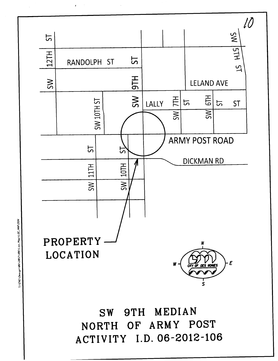

 $\overline{z}$ 

TIENG\Design\BE\2012\106\Loc.Map\LOC.MAP.DGN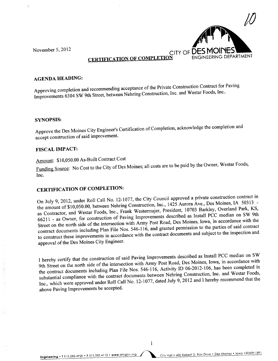$\ddot{\ddot{\xi}}$ 



## CERTIFICATION OF COMPLETION

### AGENDA HEADING:

Approving completion and recommending acceptance of the Private Construction Contract for Paving Improvements 6304 SW 9th Street, between Nehring Construction, Inc. and Westar Foods, Inc..

#### SYNOPSIS:

Approve the Des Moines City Engineer's Certification of Completion, acknowledge the completion and accept construction of said improvement.

#### FISCAL IMPACT:

# Amount: \$10,050.00 As-Built Contract Cost

Funding Source: No Cost to the City of Des Moines; all costs are to be paid by the Owner, westard Foods, Inc.

CERTIFICATION OF COMPLETION:<br>On July 9, 2012, under Roll Call No. 12-1077, the City Council approved a private construction contract in the amount of \$10,050.00, between Nehring Construction, Inc., 1425 Aurora Ave., Des Moines, IA 50313 the amount of  $$10,050.00$ , between Nehring Construction, Inc., 1425 Aurora  $\frac{1}{2}$  arkley. Overland Park, KS. as Contractor, and Westar Foods, Inc., Frank Westermajer, President, 10703 Barkley, Overland Park, Karl 9th 66211 - as Owner, for construction of Paving Improvements described as Install PCC median on SW 9th<br>Street on the north side of the intersection with Army Post Road, Des Moines, Iowa, in accordance with the<br>contract docume Street on the north side of the intersection with Army Post Road, Des Moines, Iowa, in accordance with the contract documents including Plan File Nos. 546-116, and granted permission of subject to the inspection and to construct these improvements in accordance with the contract documents and subsection and subsection and in approval of the Des Moines City Engineer.

I hereby certify that the construction of said Paving Improvements described as Install PCC median on SW the contract documents including Plan File Nos. 546-116, Activity ID 06-2012-106, has been completed in the contract documents including Plan File Nos. 546-116, Activity ID 66-2012-106, has been foods. substantial compliance with the contract documents between  $\frac{1}{2}$ star Foods, Inc., which were approved under Roll Call No. 12-1077, dated July 9, 2012 and I hereby recommend that the above Paving Improvements be accepted.

Engineering. T 515.283.4920 . F 515.283.4112 . www.dmgov.org City Hall. 400 Robert D. Ray Drive. Des Moines. Iowa .50309-1891

 $\mathbf{1}$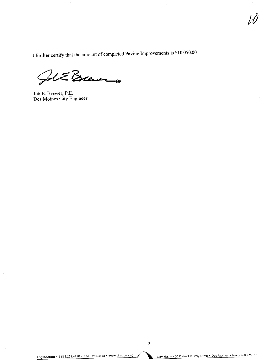I further certify that the amount of completed Paving Improvements is \$10,050.00.

l,

JolE Brewer

Jeb E. Brewer, P.E. Des Moines City Engineer

 $\lambda$ 

▶